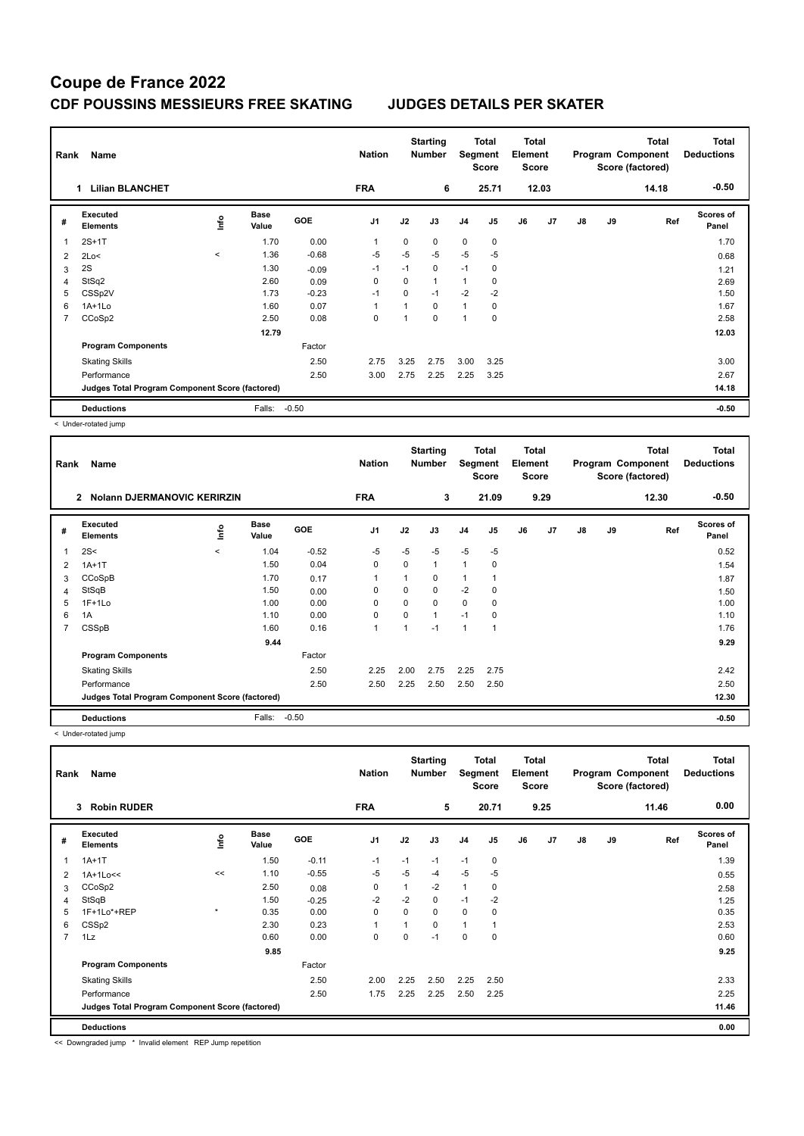## **Coupe de France 2022 CDF POUSSINS MESSIEURS FREE SKATING JUDGES DETAILS PER SKATER**

| Rank           | Name                                            |         |                      |            | <b>Nation</b>  |      | <b>Starting</b><br><b>Number</b> |                | Total<br>Segment<br><b>Score</b> | <b>Total</b><br>Element<br><b>Score</b> |       |               |    | <b>Total</b><br>Program Component<br>Score (factored) | Total<br><b>Deductions</b> |
|----------------|-------------------------------------------------|---------|----------------------|------------|----------------|------|----------------------------------|----------------|----------------------------------|-----------------------------------------|-------|---------------|----|-------------------------------------------------------|----------------------------|
|                | <b>Lilian BLANCHET</b><br>1.                    |         |                      |            | <b>FRA</b>     |      | 6                                |                | 25.71                            |                                         | 12.03 |               |    | 14.18                                                 | $-0.50$                    |
| #              | Executed<br><b>Elements</b>                     | ١nf٥    | <b>Base</b><br>Value | <b>GOE</b> | J <sub>1</sub> | J2   | J3                               | J <sub>4</sub> | J <sub>5</sub>                   | J6                                      | J7    | $\mathsf{J}8$ | J9 | Ref                                                   | <b>Scores of</b><br>Panel  |
|                | $2S+1T$                                         |         | 1.70                 | 0.00       | 1              | 0    | 0                                | $\mathbf 0$    | 0                                |                                         |       |               |    |                                                       | 1.70                       |
| 2              | 2Lo<                                            | $\,<\,$ | 1.36                 | $-0.68$    | $-5$           | $-5$ | $-5$                             | $-5$           | $-5$                             |                                         |       |               |    |                                                       | 0.68                       |
| 3              | 2S                                              |         | 1.30                 | $-0.09$    | $-1$           | $-1$ | 0                                | $-1$           | 0                                |                                         |       |               |    |                                                       | 1.21                       |
| 4              | StSq2                                           |         | 2.60                 | 0.09       | $\Omega$       | 0    | $\mathbf{1}$                     | 1              | 0                                |                                         |       |               |    |                                                       | 2.69                       |
| 5              | CSSp2V                                          |         | 1.73                 | $-0.23$    | $-1$           | 0    | $-1$                             | $-2$           | $-2$                             |                                         |       |               |    |                                                       | 1.50                       |
| 6              | $1A+1Lo$                                        |         | 1.60                 | 0.07       | 1              |      | $\mathbf 0$                      | $\mathbf{1}$   | 0                                |                                         |       |               |    |                                                       | 1.67                       |
| $\overline{7}$ | CCoSp2                                          |         | 2.50                 | 0.08       | 0              | 1    | 0                                | $\overline{1}$ | 0                                |                                         |       |               |    |                                                       | 2.58                       |
|                |                                                 |         | 12.79                |            |                |      |                                  |                |                                  |                                         |       |               |    |                                                       | 12.03                      |
|                | <b>Program Components</b>                       |         |                      | Factor     |                |      |                                  |                |                                  |                                         |       |               |    |                                                       |                            |
|                | <b>Skating Skills</b>                           |         |                      | 2.50       | 2.75           | 3.25 | 2.75                             | 3.00           | 3.25                             |                                         |       |               |    |                                                       | 3.00                       |
|                | Performance                                     |         |                      | 2.50       | 3.00           | 2.75 | 2.25                             | 2.25           | 3.25                             |                                         |       |               |    |                                                       | 2.67                       |
|                | Judges Total Program Component Score (factored) |         |                      |            |                |      |                                  |                |                                  |                                         |       |               |    |                                                       | 14.18                      |
|                | <b>Deductions</b>                               |         | Falls:               | $-0.50$    |                |      |                                  |                |                                  |                                         |       |               |    |                                                       | $-0.50$                    |

< Under-rotated jump

| Rank | Name                                               |         |                      |            | <b>Nation</b>  |      | <b>Starting</b><br><b>Number</b> | Segment        | <b>Total</b><br><b>Score</b> | Total<br>Element<br><b>Score</b> |                |               |    | Total<br>Program Component<br>Score (factored) | <b>Total</b><br><b>Deductions</b> |
|------|----------------------------------------------------|---------|----------------------|------------|----------------|------|----------------------------------|----------------|------------------------------|----------------------------------|----------------|---------------|----|------------------------------------------------|-----------------------------------|
|      | $\mathbf{2}$<br><b>Nolann DJERMANOVIC KERIRZIN</b> |         |                      |            | <b>FRA</b>     |      | 3                                |                | 21.09                        |                                  | 9.29           |               |    | 12.30                                          | $-0.50$                           |
| #    | <b>Executed</b><br><b>Elements</b>                 | lnfo    | <b>Base</b><br>Value | <b>GOE</b> | J <sub>1</sub> | J2   | J3                               | J <sub>4</sub> | J5                           | J6                               | J <sub>7</sub> | $\mathsf{J}8$ | J9 | Ref                                            | <b>Scores of</b><br>Panel         |
| 1    | 2S<                                                | $\prec$ | 1.04                 | $-0.52$    | $-5$           | $-5$ | $-5$                             | $-5$           | $-5$                         |                                  |                |               |    |                                                | 0.52                              |
| 2    | $1A+1T$                                            |         | 1.50                 | 0.04       | $\mathbf 0$    | 0    | 1                                | $\overline{1}$ | $\mathbf 0$                  |                                  |                |               |    |                                                | 1.54                              |
| 3    | CCoSpB                                             |         | 1.70                 | 0.17       | 1              | 1    | 0                                | $\overline{1}$ |                              |                                  |                |               |    |                                                | 1.87                              |
| 4    | StSqB                                              |         | 1.50                 | 0.00       | 0              | 0    | 0                                | $-2$           | $\mathbf 0$                  |                                  |                |               |    |                                                | 1.50                              |
| 5    | $1F+1Lo$                                           |         | 1.00                 | 0.00       | 0              | 0    | 0                                | 0              | $\mathbf 0$                  |                                  |                |               |    |                                                | 1.00                              |
| 6    | 1A                                                 |         | 1.10                 | 0.00       | 0              | 0    | 1                                | $-1$           | 0                            |                                  |                |               |    |                                                | 1.10                              |
|      | CSSpB                                              |         | 1.60                 | 0.16       | 1              | 1    | $-1$                             | 1              |                              |                                  |                |               |    |                                                | 1.76                              |
|      |                                                    |         | 9.44                 |            |                |      |                                  |                |                              |                                  |                |               |    |                                                | 9.29                              |
|      | <b>Program Components</b>                          |         |                      | Factor     |                |      |                                  |                |                              |                                  |                |               |    |                                                |                                   |
|      | <b>Skating Skills</b>                              |         |                      | 2.50       | 2.25           | 2.00 | 2.75                             | 2.25           | 2.75                         |                                  |                |               |    |                                                | 2.42                              |
|      | Performance                                        |         |                      | 2.50       | 2.50           | 2.25 | 2.50                             | 2.50           | 2.50                         |                                  |                |               |    |                                                | 2.50                              |
|      | Judges Total Program Component Score (factored)    |         |                      |            |                |      |                                  |                |                              |                                  |                |               |    |                                                | 12.30                             |
|      | <b>Deductions</b>                                  |         | Falls:               | $-0.50$    |                |      |                                  |                |                              |                                  |                |               |    |                                                | $-0.50$                           |

< Under-rotated jump

| Rank           | Name                                            |         |                      |            | <b>Nation</b> |             | <b>Starting</b><br><b>Number</b> | Segment        | Total<br><b>Score</b> | Total<br>Element<br><b>Score</b> |      |               |    | <b>Total</b><br>Program Component<br>Score (factored) | <b>Total</b><br><b>Deductions</b> |
|----------------|-------------------------------------------------|---------|----------------------|------------|---------------|-------------|----------------------------------|----------------|-----------------------|----------------------------------|------|---------------|----|-------------------------------------------------------|-----------------------------------|
|                | <b>Robin RUDER</b><br>3                         |         |                      |            | <b>FRA</b>    |             | 5                                |                | 20.71                 |                                  | 9.25 |               |    | 11.46                                                 | 0.00                              |
| #              | Executed<br><b>Elements</b>                     | ١nfo    | <b>Base</b><br>Value | <b>GOE</b> | J1            | J2          | J3                               | J <sub>4</sub> | J5                    | J6                               | J7   | $\mathsf{J}8$ | J9 | Ref                                                   | <b>Scores of</b><br>Panel         |
|                | $1A+1T$                                         |         | 1.50                 | $-0.11$    | $-1$          | $-1$        | $-1$                             | $-1$           | $\mathbf 0$           |                                  |      |               |    |                                                       | 1.39                              |
| 2              | 1A+1Lo<<                                        | <<      | 1.10                 | $-0.55$    | $-5$          | $-5$        | $-4$                             | $-5$           | $-5$                  |                                  |      |               |    |                                                       | 0.55                              |
| 3              | CCoSp2                                          |         | 2.50                 | 0.08       | $\mathbf 0$   | 1           | $-2$                             | $\mathbf{1}$   | 0                     |                                  |      |               |    |                                                       | 2.58                              |
| 4              | StSqB                                           |         | 1.50                 | $-0.25$    | $-2$          | $-2$        | 0                                | $-1$           | $-2$                  |                                  |      |               |    |                                                       | 1.25                              |
| 5              | 1F+1Lo*+REP                                     | $\star$ | 0.35                 | 0.00       | $\mathbf 0$   | $\mathbf 0$ | 0                                | $\mathbf 0$    | 0                     |                                  |      |               |    |                                                       | 0.35                              |
| 6              | CSSp2                                           |         | 2.30                 | 0.23       | $\mathbf{1}$  | 1           | 0                                | $\overline{1}$ |                       |                                  |      |               |    |                                                       | 2.53                              |
| $\overline{7}$ | 1Lz                                             |         | 0.60                 | 0.00       | $\mathbf 0$   | $\Omega$    | $-1$                             | 0              | $\Omega$              |                                  |      |               |    |                                                       | 0.60                              |
|                |                                                 |         | 9.85                 |            |               |             |                                  |                |                       |                                  |      |               |    |                                                       | 9.25                              |
|                | <b>Program Components</b>                       |         |                      | Factor     |               |             |                                  |                |                       |                                  |      |               |    |                                                       |                                   |
|                | <b>Skating Skills</b>                           |         |                      | 2.50       | 2.00          | 2.25        | 2.50                             | 2.25           | 2.50                  |                                  |      |               |    |                                                       | 2.33                              |
|                | Performance                                     |         |                      | 2.50       | 1.75          | 2.25        | 2.25                             | 2.50           | 2.25                  |                                  |      |               |    |                                                       | 2.25                              |
|                | Judges Total Program Component Score (factored) |         |                      |            |               |             |                                  |                |                       |                                  |      |               |    |                                                       | 11.46                             |
|                | <b>Deductions</b>                               |         |                      |            |               |             |                                  |                |                       |                                  |      |               |    |                                                       | 0.00                              |

<< Downgraded jump \* Invalid element REP Jump repetition